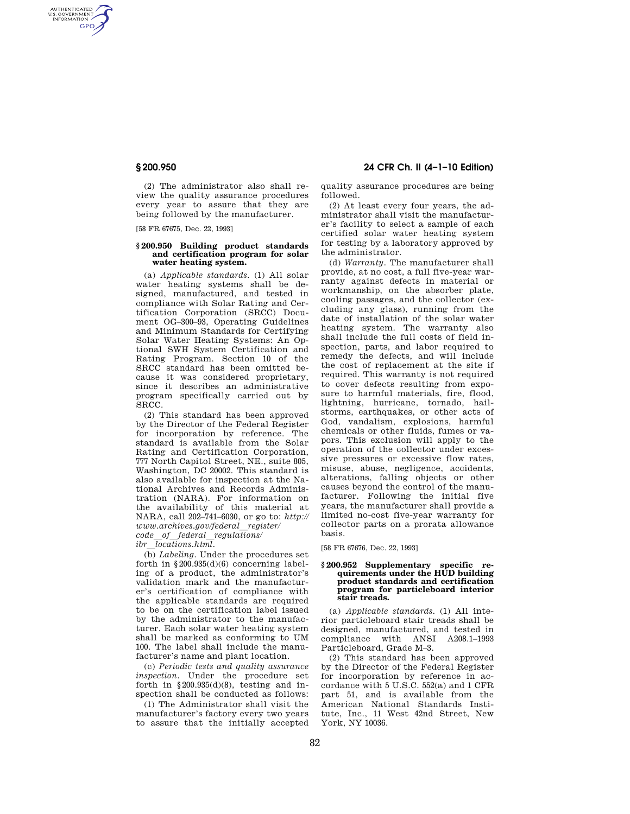AUTHENTICATED<br>U.S. GOVERNMENT<br>INFORMATION **GPO** 

> (2) The administrator also shall review the quality assurance procedures every year to assure that they are being followed by the manufacturer.

[58 FR 67675, Dec. 22, 1993]

### **§ 200.950 Building product standards and certification program for solar water heating system.**

(a) *Applicable standards.* (1) All solar water heating systems shall be designed, manufactured, and tested in compliance with Solar Rating and Certification Corporation (SRCC) Document OG–300–93, Operating Guidelines and Minimum Standards for Certifying Solar Water Heating Systems: An Optional SWH System Certification and Rating Program. Section 10 of the SRCC standard has been omitted because it was considered proprietary, since it describes an administrative program specifically carried out by SRCC.

(2) This standard has been approved by the Director of the Federal Register for incorporation by reference. The standard is available from the Solar Rating and Certification Corporation, 777 North Capitol Street, NE., suite 805, Washington, DC 20002. This standard is also available for inspection at the National Archives and Records Administration (NARA). For information on the availability of this material at NARA, call 202–741–6030, or go to: *http:// www.archives.gov/federal*l*register/ code*l*of*l*federal*l*regulations/* 

*ibr*l*locations.html.* 

(b) *Labeling.* Under the procedures set forth in  $§200.935(d)(6)$  concerning labeling of a product, the administrator's validation mark and the manufacturer's certification of compliance with the applicable standards are required to be on the certification label issued by the administrator to the manufacturer. Each solar water heating system shall be marked as conforming to UM 100. The label shall include the manufacturer's name and plant location.

(c) *Periodic tests and quality assurance inspection.* Under the procedure set forth in  $\S 200.935(d)(8)$ , testing and inspection shall be conducted as follows:

(1) The Administrator shall visit the manufacturer's factory every two years to assure that the initially accepted

**§ 200.950 24 CFR Ch. II (4–1–10 Edition)** 

quality assurance procedures are being followed.

(2) At least every four years, the administrator shall visit the manufacturer's facility to select a sample of each certified solar water heating system for testing by a laboratory approved by the administrator.

(d) *Warranty.* The manufacturer shall provide, at no cost, a full five-year warranty against defects in material or workmanship, on the absorber plate, cooling passages, and the collector (excluding any glass), running from the date of installation of the solar water heating system. The warranty also shall include the full costs of field inspection, parts, and labor required to remedy the defects, and will include the cost of replacement at the site if required. This warranty is not required to cover defects resulting from exposure to harmful materials, fire, flood, lightning, hurricane, tornado, hailstorms, earthquakes, or other acts of God, vandalism, explosions, harmful chemicals or other fluids, fumes or vapors. This exclusion will apply to the operation of the collector under excessive pressures or excessive flow rates, misuse, abuse, negligence, accidents, alterations, falling objects or other causes beyond the control of the manufacturer. Following the initial five years, the manufacturer shall provide a limited no-cost five-year warranty for collector parts on a prorata allowance basis.

[58 FR 67676, Dec. 22, 1993]

## **§ 200.952 Supplementary specific requirements under the HUD building product standards and certification program for particleboard interior stair treads.**

(a) *Applicable standards.* (1) All interior particleboard stair treads shall be designed, manufactured, and tested in compliance with ANSI A208.1–1993 Particleboard, Grade M–3.

(2) This standard has been approved by the Director of the Federal Register for incorporation by reference in accordance with 5 U.S.C. 552(a) and 1 CFR part 51, and is available from the American National Standards Institute, Inc., 11 West 42nd Street, New York, NY 10036.